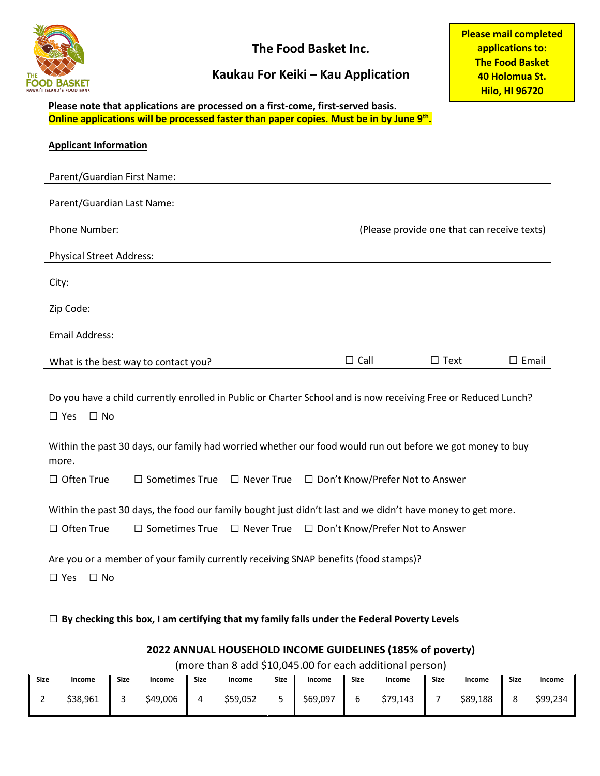

**The Food Basket Inc.**

## **Kaukau For Keiki – Kau Application**

**Please mail completed applications to: The Food Basket 40 Holomua St. Hilo, HI 96720**

**Please note that applications are processed on a first-come, first-served basis. Online applications will be processed faster than paper copies. Must be in by June 9th.**

| <b>Applicant Information</b>                                                                                                              |                                      |                   |                                                          |                                             |                 |  |
|-------------------------------------------------------------------------------------------------------------------------------------------|--------------------------------------|-------------------|----------------------------------------------------------|---------------------------------------------|-----------------|--|
| Parent/Guardian First Name:                                                                                                               |                                      |                   |                                                          |                                             |                 |  |
| Parent/Guardian Last Name:                                                                                                                |                                      |                   |                                                          |                                             |                 |  |
| Phone Number:                                                                                                                             |                                      |                   |                                                          | (Please provide one that can receive texts) |                 |  |
| <b>Physical Street Address:</b>                                                                                                           |                                      |                   |                                                          |                                             |                 |  |
| City:                                                                                                                                     |                                      |                   |                                                          |                                             |                 |  |
| Zip Code:                                                                                                                                 |                                      |                   |                                                          |                                             |                 |  |
| <b>Email Address:</b>                                                                                                                     |                                      |                   |                                                          |                                             |                 |  |
|                                                                                                                                           | What is the best way to contact you? |                   | $\Box$ Call                                              | $\Box$ Text                                 | $\square$ Email |  |
| Do you have a child currently enrolled in Public or Charter School and is now receiving Free or Reduced Lunch?<br>$\Box$ No<br>$\Box$ Yes |                                      |                   |                                                          |                                             |                 |  |
| Within the past 30 days, our family had worried whether our food would run out before we got money to buy<br>more.                        |                                      |                   |                                                          |                                             |                 |  |
| $\Box$ Often True                                                                                                                         | $\Box$ Sometimes True                |                   | $\Box$ Never True $\Box$ Don't Know/Prefer Not to Answer |                                             |                 |  |
| Within the past 30 days, the food our family bought just didn't last and we didn't have money to get more.                                |                                      |                   |                                                          |                                             |                 |  |
| $\Box$ Often True                                                                                                                         | $\Box$ Sometimes True                | $\Box$ Never True | □ Don't Know/Prefer Not to Answer                        |                                             |                 |  |
| Are you or a member of your family currently receiving SNAP benefits (food stamps)?<br>$\Box$ No<br>$\Box$ Yes                            |                                      |                   |                                                          |                                             |                 |  |

□ **By checking this box, I am certifying that my family falls under the Federal Poverty Levels**

## **2022 ANNUAL HOUSEHOLD INCOME GUIDELINES (185% of poverty)**

(more than 8 add \$10,045.00 for each additional person)

| <b>Size</b> | Income   | <b>Size</b> | Income   | <b>Size</b> | Income   | <b>Size</b> | Income   | <b>Size</b> | Income   | <b>Size</b> | Income   | <b>Size</b> | Income   |
|-------------|----------|-------------|----------|-------------|----------|-------------|----------|-------------|----------|-------------|----------|-------------|----------|
| -           | \$38,961 |             | \$49,006 | Д           | \$59,052 | سد          | \$69,097 |             | \$79.143 |             | \$89,188 | с           | \$99,234 |